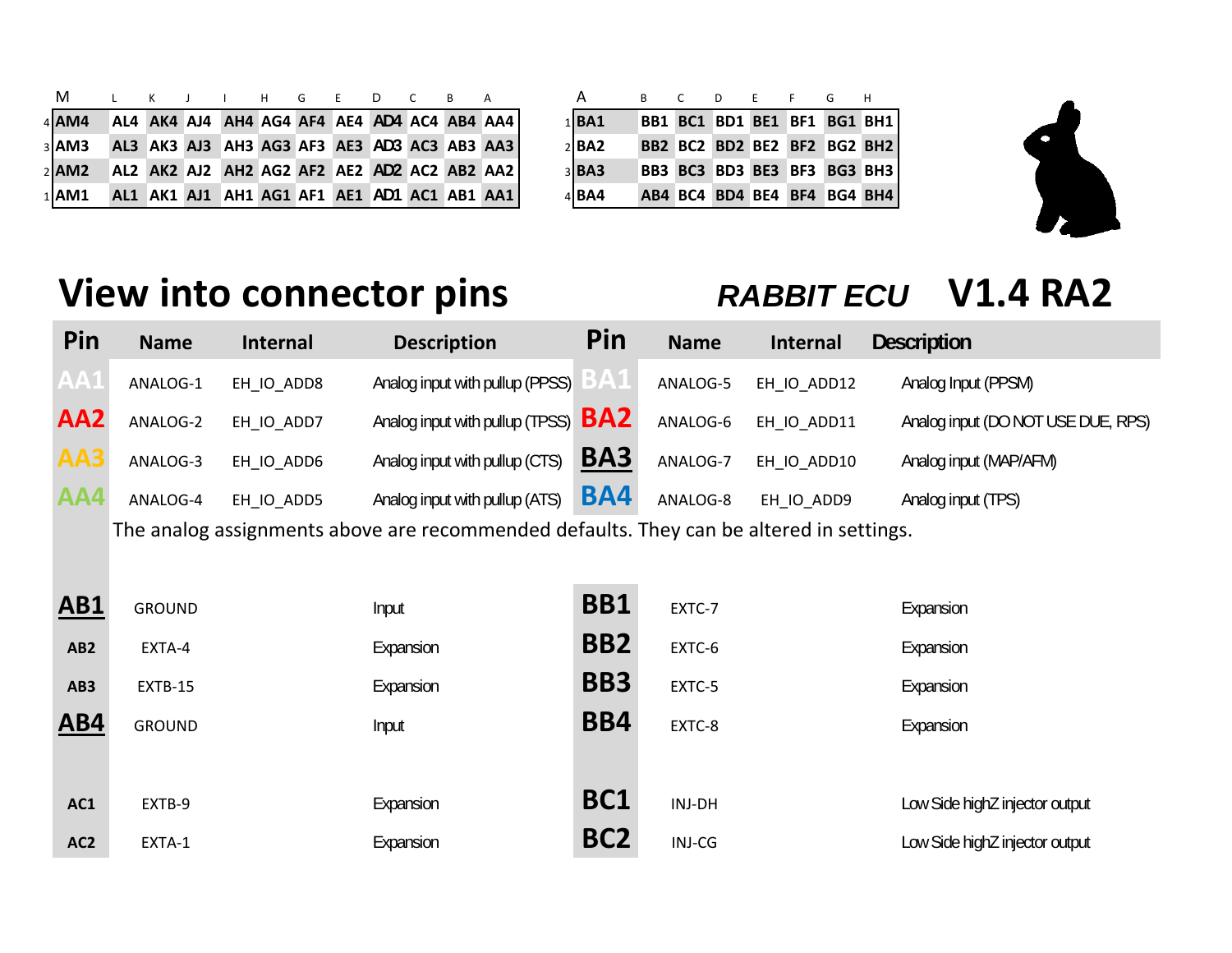| A.             | R C D F F G H |  |  |                             |
|----------------|---------------|--|--|-----------------------------|
| $1$ <b>BA1</b> |               |  |  | BB1 BC1 BD1 BE1 BF1 BG1 BH1 |
| $2$ BA2        |               |  |  | BB2 BC2 BD2 BE2 BF2 BG2 BH2 |
| 3 <b>BA3</b>   |               |  |  | BB3 BC3 BD3 BE3 BF3 BG3 BH3 |
| $4$ BA4        |               |  |  | AB4 BC4 BD4 BE4 BF4 BG4 BH4 |
|                |               |  |  |                             |

| M L K J I H G E D C B A |  |  |  |  |                                             |  | <b>A</b>       | B C D E F G H |                             |  |  |
|-------------------------|--|--|--|--|---------------------------------------------|--|----------------|---------------|-----------------------------|--|--|
| $4$ $AM4$               |  |  |  |  | AL4 AK4 AJ4 AH4 AG4 AF4 AE4 AD4 AC4 AB4 AA4 |  | $1$ <b>BA1</b> |               | BB1 BC1 BD1 BE1 BF1 BG1 BH1 |  |  |
| $3$ $AM3$               |  |  |  |  | AL3 AK3 AJ3 AH3 AG3 AF3 AE3 AD3 AC3 AB3 AA3 |  | $2$ <b>BA2</b> |               | BB2 BC2 BD2 BE2 BF2 BG2 BH2 |  |  |
| $2$ <b>AM2</b>          |  |  |  |  | AL2 AK2 AJ2 AH2 AG2 AF2 AE2 AD2 AC2 AB2 AA2 |  | $3$ <b>BA3</b> |               | BB3 BC3 BD3 BE3 BF3 BG3 BH3 |  |  |
| $1$ AM1                 |  |  |  |  | AL1 AK1 AJ1 AH1 AG1 AF1 AE1 AD1 AC1 AB1 AA1 |  | 4 <b>BA4</b>   |               | AB4 BC4 BD4 BE4 BF4 BG4 BH4 |  |  |

## **View into connector pins** *RABBIT ECU* **V1.4 RA2**

| Pin             | <b>Name</b> | <b>Internal</b> | <b>Description</b>                    | Pin        | <b>Name</b> | <b>Internal</b> | <b>Description</b>                 |
|-----------------|-------------|-----------------|---------------------------------------|------------|-------------|-----------------|------------------------------------|
| AA1             | ANALOG-1    | EH IO ADD8      | Analog input with pullup (PPSS)       |            | ANALOG-5    | EH IO ADD12     | Analog Input (PPSM)                |
| AA <sub>2</sub> | ANALOG-2    | EH IO ADD7      | Analog input with pullup (TPSS) $BA2$ |            | ANALOG-6    | EH IO ADD11     | Analog input (DO NOT USE DUE, RPS) |
| AA3             | ANALOG-3    | EH IO ADD6      | Analog input with pullup (CTS)        | BA3        | ANALOG-7    | EH IO ADD10     | Analog input (MAP/AFM)             |
| AA4             | ANALOG-4    | EH IO ADD5      | Analog input with pullup (ATS)        | <b>BA4</b> | ANALOG-8    | EH IO ADD9      | Analog input (TPS)                 |

The analog assignments above are recommended defaults. They can be altered in settings.

| <b>AB1</b>      | <b>GROUND</b> | Input     | <b>BB1</b>      | EXTC-7 | Expansion                      |
|-----------------|---------------|-----------|-----------------|--------|--------------------------------|
| AB <sub>2</sub> | EXTA-4        | Expansion | <b>BB2</b>      | EXTC-6 | Expansion                      |
| AB3             | EXTB-15       | Expansion | BB <sub>3</sub> | EXTC-5 | Expansion                      |
| <b>AB4</b>      | <b>GROUND</b> | Input     | <b>BB4</b>      | EXTC-8 | Expansion                      |
|                 |               |           |                 |        |                                |
| AC1             | EXTB-9        | Expansion | <b>BC1</b>      | INJ-DH | Low Side highZ injector output |
| AC <sub>2</sub> | EXTA-1        | Expansion | BC <sub>2</sub> | INJ-CG | Low Side highZ injector output |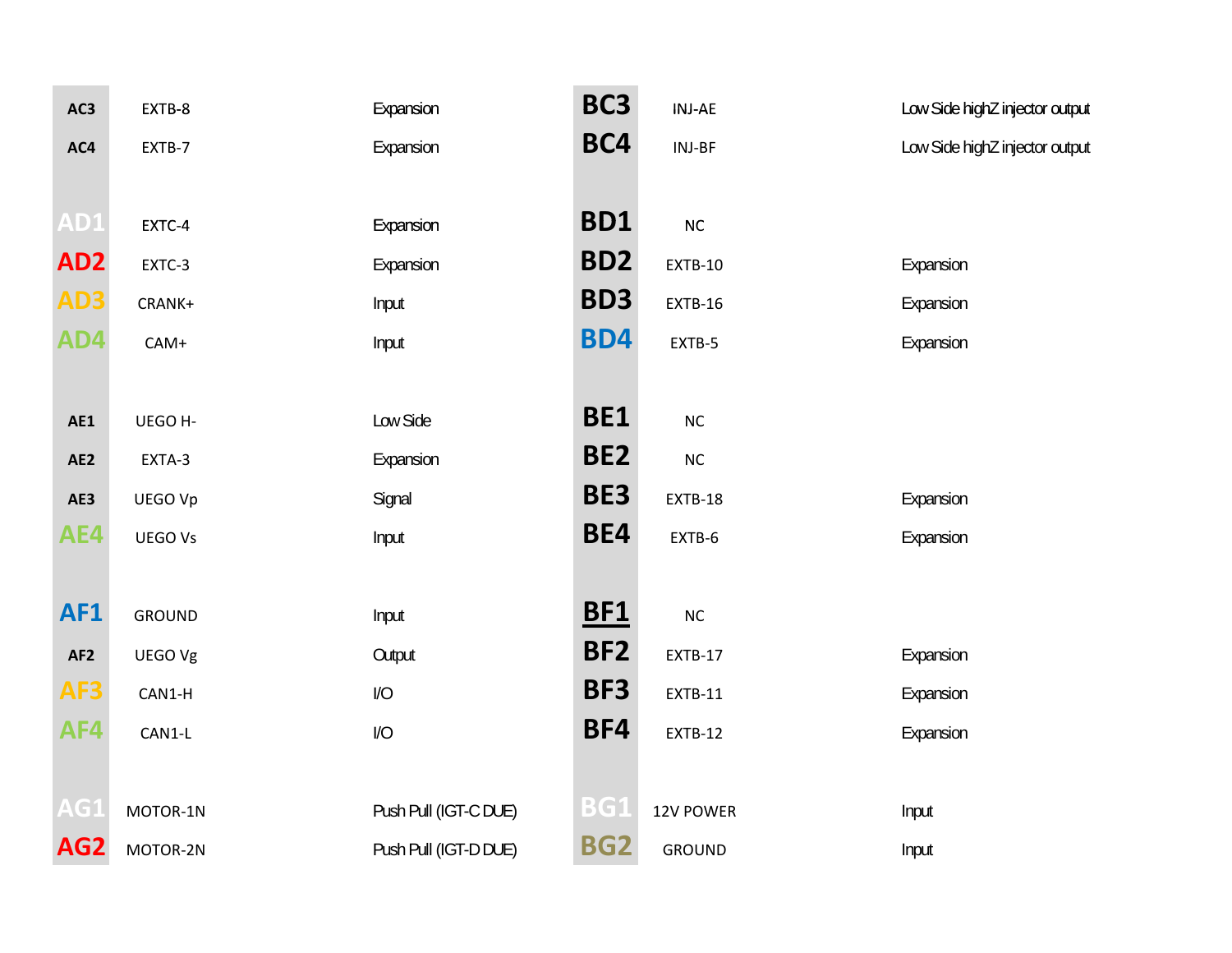| AC3             | EXTB-8        | Expansion             | BC <sub>3</sub> | <b>INJ-AE</b>  | Low Side highZ injector output |
|-----------------|---------------|-----------------------|-----------------|----------------|--------------------------------|
| AC4             | EXTB-7        | Expansion             | BC4             | INJ-BF         | Low Side highZ injector output |
|                 |               |                       |                 |                |                                |
| AD1             | EXTC-4        | Expansion             | <b>BD1</b>      | $\sf NC$       |                                |
| AD <sub>2</sub> | EXTC-3        | Expansion             | BD <sub>2</sub> | EXTB-10        | Expansion                      |
| AD3             | CRANK+        | Input                 | BD <sub>3</sub> | EXTB-16        | Expansion                      |
| AD4             | $CAM+$        | Input                 | <b>BD4</b>      | EXTB-5         | Expansion                      |
|                 |               |                       |                 |                |                                |
| AE1             | UEGO H-       | Low Side              | <b>BE1</b>      | $NC$           |                                |
| AE2             | EXTA-3        | Expansion             | BE <sub>2</sub> | $\sf NC$       |                                |
| AE3             | UEGO Vp       | Signal                | BE3             | EXTB-18        | Expansion                      |
| AE4             | UEGO Vs       | Input                 | BE4             | EXTB-6         | Expansion                      |
|                 |               |                       |                 |                |                                |
| <b>AF1</b>      | <b>GROUND</b> | Input                 | <b>BF1</b>      | $NC$           |                                |
| AF <sub>2</sub> | UEGO Vg       | Output                | BF <sub>2</sub> | EXTB-17        | Expansion                      |
| AF3             | CAN1-H        | 1/O                   | BF3             | EXTB-11        | Expansion                      |
| AF4             | CAN1-L        | 1/0                   | BF4             | <b>EXTB-12</b> | Expansion                      |
|                 |               |                       |                 |                |                                |
| AG1             | MOTOR-1N      | Push Pull (IGT-C DUE) | <b>BG1</b>      | 12V POWER      | Input                          |
| AG <sub>2</sub> | MOTOR-2N      | Push Pull (IGT-D DUE) | <b>BG2</b>      | <b>GROUND</b>  | Input                          |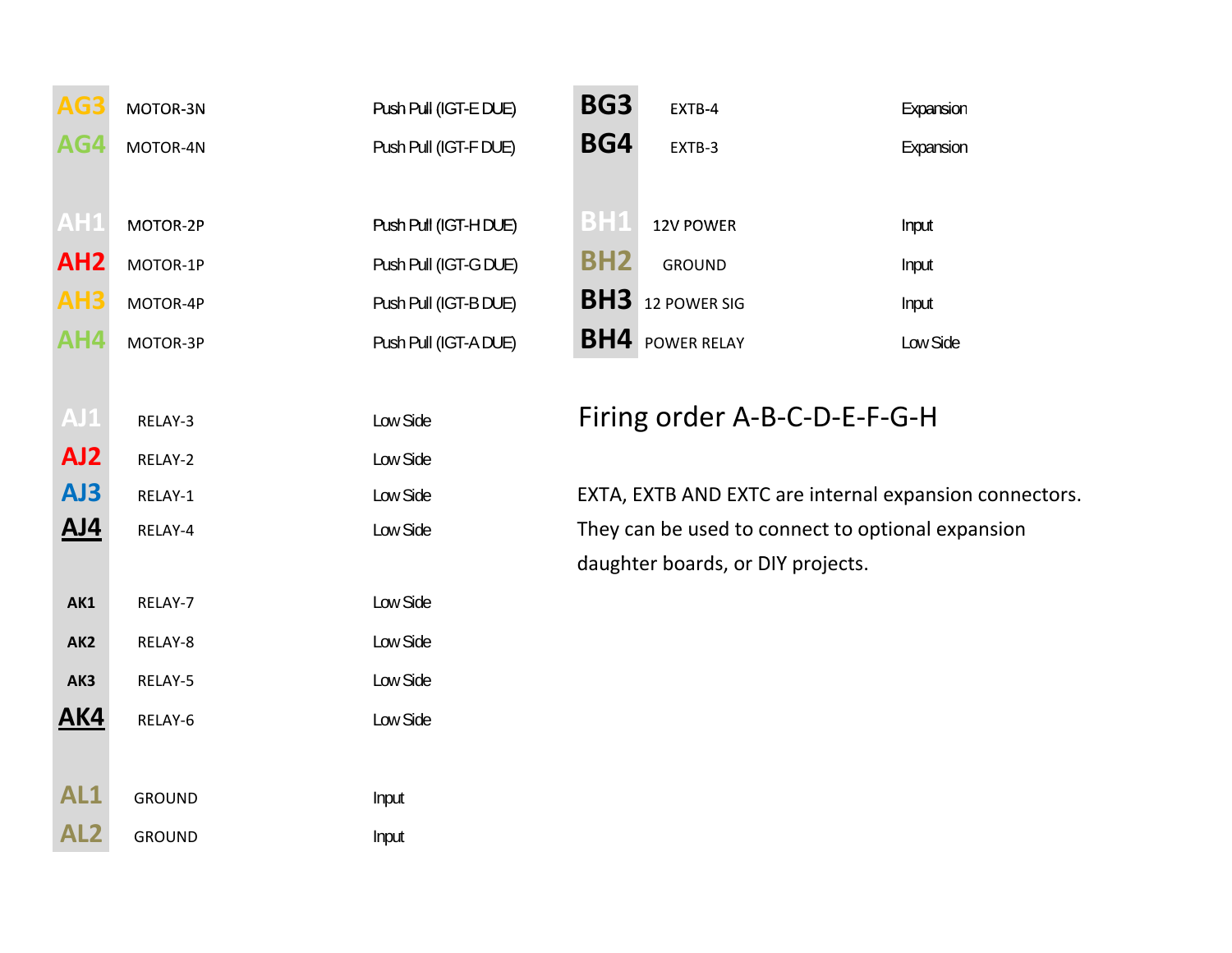| AG3             | MOTOR-3N      | Push Pull (IGT-E DUE) | BG <sub>3</sub> | EXTB-4                                                 | Expansion |
|-----------------|---------------|-----------------------|-----------------|--------------------------------------------------------|-----------|
| AG4             | MOTOR-4N      | Push Pull (IGT-F DUE) | BG4             | EXTB-3                                                 | Expansion |
|                 |               |                       |                 |                                                        |           |
| AH1             | MOTOR-2P      | Push Pull (IGT-H DUE) | <b>BH1</b>      | 12V POWER                                              | Input     |
| AH <sub>2</sub> | MOTOR-1P      | Push Pull (IGT-G DUE) | <b>BH2</b>      | <b>GROUND</b>                                          | Input     |
| AH <sub>3</sub> | MOTOR-4P      | Push Pull (IGT-B DUE) |                 | <b>BH3</b> 12 POWER SIG                                | Input     |
| AH4             | MOTOR-3P      | Push Pull (IGT-A DUE) |                 | <b>BH4</b> POWER RELAY                                 | Low Side  |
|                 |               |                       |                 |                                                        |           |
| $A$ J $1$       | RELAY-3       | Low Side              |                 | Firing order A-B-C-D-E-F-G-H                           |           |
| AJ <sub>2</sub> | RELAY-2       | Low Side              |                 |                                                        |           |
| AJ3             | RELAY-1       | Low Side              |                 | EXTA, EXTB AND EXTC are internal expansion connectors. |           |
| <u>AJ4</u>      | RELAY-4       | Low Side              |                 | They can be used to connect to optional expansion      |           |
|                 |               |                       |                 | daughter boards, or DIY projects.                      |           |
| AK1             | RELAY-7       | Low Side              |                 |                                                        |           |
| AK <sub>2</sub> | RELAY-8       | Low Side              |                 |                                                        |           |
| AK3             | RELAY-5       | Low Side              |                 |                                                        |           |
| <b>AK4</b>      | RELAY-6       | Low Side              |                 |                                                        |           |
|                 |               |                       |                 |                                                        |           |
| AL1             | <b>GROUND</b> | Input                 |                 |                                                        |           |
| AL2             | <b>GROUND</b> | Input                 |                 |                                                        |           |